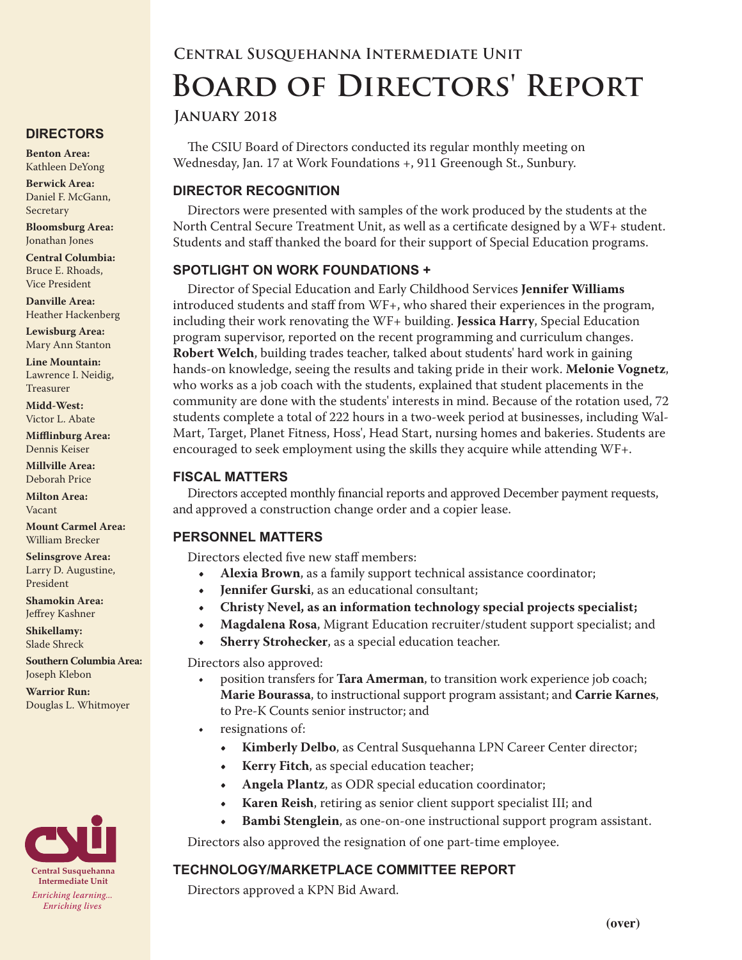# **Central Susquehanna Intermediate Unit Board of Directors' Report**

#### **January 2018**

The CSIU Board of Directors conducted its regular monthly meeting on Wednesday, Jan. 17 at Work Foundations +, 911 Greenough St., Sunbury.

# **DIRECTOR RECOGNITION**

Directors were presented with samples of the work produced by the students at the North Central Secure Treatment Unit, as well as a certificate designed by a WF+ student. Students and staff thanked the board for their support of Special Education programs.

#### **SPOTLIGHT ON WORK FOUNDATIONS +**

Director of Special Education and Early Childhood Services **Jennifer Williams** introduced students and staff from WF+, who shared their experiences in the program, including their work renovating the WF+ building. **Jessica Harry**, Special Education program supervisor, reported on the recent programming and curriculum changes. **Robert Welch**, building trades teacher, talked about students' hard work in gaining hands-on knowledge, seeing the results and taking pride in their work. **Melonie Vognetz**, who works as a job coach with the students, explained that student placements in the community are done with the students' interests in mind. Because of the rotation used, 72 students complete a total of 222 hours in a two-week period at businesses, including Wal-Mart, Target, Planet Fitness, Hoss', Head Start, nursing homes and bakeries. Students are encouraged to seek employment using the skills they acquire while attending WF+.

#### **FISCAL MATTERS**

Directors accepted monthly financial reports and approved December payment requests, and approved a construction change order and a copier lease.

## **PERSONNEL MATTERS**

Directors elected five new staff members:

- **• Alexia Brown**, as a family support technical assistance coordinator;
- **• Jennifer Gurski**, as an educational consultant;
- **• Christy Nevel, as an information technology special projects specialist;**
- **• Magdalena Rosa**, Migrant Education recruiter/student support specialist; and
- **• Sherry Strohecker**, as a special education teacher.

Directors also approved:

- position transfers for **Tara Amerman**, to transition work experience job coach; **Marie Bourassa**, to instructional support program assistant; and **Carrie Karnes**, to Pre-K Counts senior instructor; and
- resignations of:
	- **• Kimberly Delbo**, as Central Susquehanna LPN Career Center director;
	- **• Kerry Fitch**, as special education teacher;
	- **• Angela Plantz**, as ODR special education coordinator;
	- **• Karen Reish**, retiring as senior client support specialist III; and
	- **• Bambi Stenglein**, as one-on-one instructional support program assistant.

Directors also approved the resignation of one part-time employee.

## **TECHNOLOGY/MARKETPLACE COMMITTEE REPORT**

Directors approved a KPN Bid Award.

# **DIRECTORS**

**Benton Area:** Kathleen DeYong

**Berwick Area:** Daniel F. McGann, Secretary

**Bloomsburg Area:**  Jonathan Jones

**Central Columbia:** Bruce E. Rhoads, Vice President

**Danville Area:** Heather Hackenberg

**Lewisburg Area:** Mary Ann Stanton

**Line Mountain:** Lawrence I. Neidig, Treasurer

**Midd-West:**  Victor L. Abate

**Mifflinburg Area:** Dennis Keiser

**Millville Area:** Deborah Price

**Milton Area:** Vacant

**Mount Carmel Area:**  William Brecker

**Selinsgrove Area:**  Larry D. Augustine, President

**Shamokin Area:** Jeffrey Kashner

**Shikellamy:**  Slade Shreck

**Southern Columbia Area:** Joseph Klebon

**Warrior Run:** Douglas L. Whitmoyer